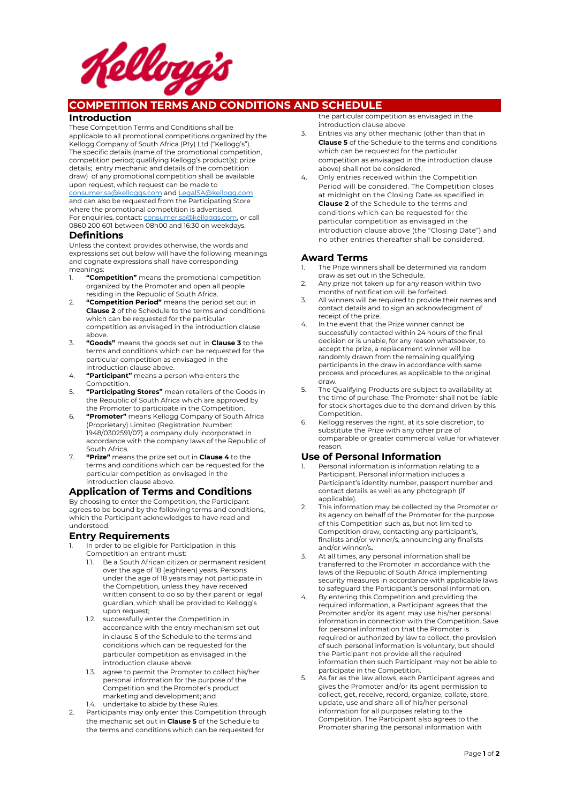

# **COMPETITION TERMS AND CONDITIONS AND SCHEDULE**

#### **Introduction**

These Competition Terms and Conditions shall be applicable to all promotional competitions organized by the Kellogg Company of South Africa (Pty) Ltd ("Kellogg's"). The specific details (name of the promotional competition, competition period; qualifying Kellogg's product(s); prize details; entry mechanic and details of the competition draw) of any promotional competition shall be available upon request, which request can be made to consumer.sa@kelloggs.com and LegalSA@kellogg.com and can also be requested from the Participating Store

where the promotional competition is advertised. For enquiries, contact: consumer.sa@kelloggs.com, or call 0860 200 601 between 08h00 and 16:30 on weekdays.

#### **Definitions**

Unless the context provides otherwise, the words and expressions set out below will have the following meanings and cognate expressions shall have corresponding meanings:

- 1. **"Competition"** means the promotional competition organized by the Promoter and open all people residing in the Republic of South Africa.
- 2. **"Competition Period"** means the period set out in **Clause 2** of the Schedule to the terms and conditions which can be requested for the particular competition as envisaged in the introduction clause above.
- 3. **"Goods"** means the goods set out in **Clause 3** to the terms and conditions which can be requested for the particular competition as envisaged in the introduction clause above.
- 4. **"Participant"** means a person who enters the Competition.
- 5. **"Participating Stores"** mean retailers of the Goods in the Republic of South Africa which are approved by the Promoter to participate in the Competition.
- 6. **"Promoter"** means Kellogg Company of South Africa (Proprietary) Limited (Registration Number: 1948/0302591/07) a company duly incorporated in accordance with the company laws of the Republic of South Africa.
- 7. **"Prize"** means the prize set out in **Clause 4** to the terms and conditions which can be requested for the particular competition as envisaged in the introduction clause above.

# **Application of Terms and Conditions**

By choosing to enter the Competition, the Participant agrees to be bound by the following terms and conditions, which the Participant acknowledges to have read and understood.

#### **Entry Requirements**

- In order to be eligible for Participation in this Competition an entrant must:
	- 1.1. Be a South African citizen or permanent resident over the age of 18 (eighteen) years. Persons under the age of 18 years may not participate in the Competition, unless they have received written consent to do so by their parent or legal guardian, which shall be provided to Kellogg's upon request;
	- 1.2. successfully enter the Competition in accordance with the entry mechanism set out in clause 5 of the Schedule to the terms and conditions which can be requested for the particular competition as envisaged in the introduction clause above.
	- 1.3. agree to permit the Promoter to collect his/her personal information for the purpose of the Competition and the Promoter's product marketing and development; and 1.4. undertake to abide by these Rules.
- 2. Participants may only enter this Competition through the mechanic set out in **Clause 5** of the Schedule to the terms and conditions which can be requested for

the particular competition as envisaged in the introduction clause above.

- 3. Entries via any other mechanic (other than that in **Clause 5** of the Schedule to the terms and conditions which can be requested for the particular competition as envisaged in the introduction clause above) shall not be considered.
- 4. Only entries received within the Competition Period will be considered. The Competition closes at midnight on the Closing Date as specified in **Clause 2** of the Schedule to the terms and conditions which can be requested for the particular competition as envisaged in the introduction clause above (the "Closing Date") and no other entries thereafter shall be considered.

# **Award Terms**

- The Prize winners shall be determined via random draw as set out in the Schedule.
- 2. Any prize not taken up for any reason within two months of notification will be forfeited.
- 3. All winners will be required to provide their names and contact details and to sign an acknowledgment of receipt of the prize.
- 4. In the event that the Prize winner cannot be successfully contacted within 24 hours of the final decision or is unable, for any reason whatsoever, to accept the prize, a replacement winner will be randomly drawn from the remaining qualifying participants in the draw in accordance with same process and procedures as applicable to the original draw.
- 5. The Qualifying Products are subject to availability at the time of purchase. The Promoter shall not be liable for stock shortages due to the demand driven by this Competition.
- 6. Kellogg reserves the right, at its sole discretion, to substitute the Prize with any other prize of comparable or greater commercial value for whatever reason.

### **Use of Personal Information**

- 1. Personal information is information relating to a Participant. Personal information includes a Participant's identity number, passport number and contact details as well as any photograph (if applicable).
- 2. This information may be collected by the Promoter or its agency on behalf of the Promoter for the purpose of this Competition such as, but not limited to Competition draw, contacting any participant's, finalists and/or winner/s, announcing any finalists and/or winner/s**.**
- 3. At all times, any personal information shall be transferred to the Promoter in accordance with the laws of the Republic of South Africa implementing security measures in accordance with applicable laws to safeguard the Participant's personal information.
- By entering this Competition and providing the required information, a Participant agrees that the Promoter and/or its agent may use his/her personal information in connection with the Competition. Save for personal information that the Promoter is required or authorized by law to collect, the provision of such personal information is voluntary, but should the Participant not provide all the required information then such Participant may not be able to participate in the Competition.
- As far as the law allows, each Participant agrees and gives the Promoter and/or its agent permission to collect, get, receive, record, organize, collate, store, update, use and share all of his/her personal information for all purposes relating to the Competition. The Participant also agrees to the Promoter sharing the personal information with